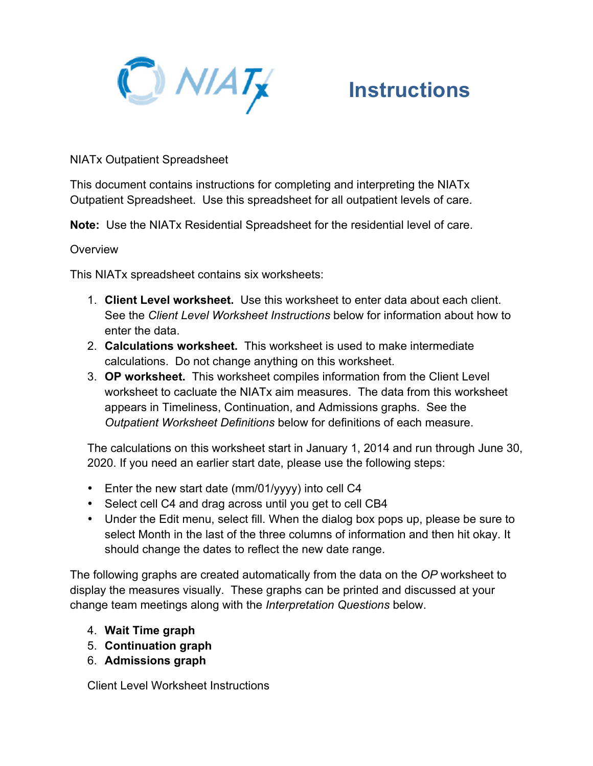

NIATx Outpatient Spreadsheet

This document contains instructions for completing and interpreting the NIATx Outpatient Spreadsheet. Use this spreadsheet for all outpatient levels of care.

**Note:** Use the NIATx Residential Spreadsheet for the residential level of care.

### **Overview**

This NIATx spreadsheet contains six worksheets:

- 1. **Client Level worksheet.** Use this worksheet to enter data about each client. See the *Client Level Worksheet Instructions* below for information about how to enter the data.
- 2. **Calculations worksheet.** This worksheet is used to make intermediate calculations. Do not change anything on this worksheet.
- 3. **OP worksheet.** This worksheet compiles information from the Client Level worksheet to cacluate the NIATx aim measures. The data from this worksheet appears in Timeliness, Continuation, and Admissions graphs. See the *Outpatient Worksheet Definitions* below for definitions of each measure.

The calculations on this worksheet start in January 1, 2014 and run through June 30, 2020. If you need an earlier start date, please use the following steps:

- Enter the new start date (mm/01/yyyy) into cell C4
- Select cell C4 and drag across until you get to cell CB4
- Under the Edit menu, select fill. When the dialog box pops up, please be sure to select Month in the last of the three columns of information and then hit okay. It should change the dates to reflect the new date range.

The following graphs are created automatically from the data on the *OP* worksheet to display the measures visually. These graphs can be printed and discussed at your change team meetings along with the *Interpretation Questions* below.

- 4. **Wait Time graph**
- 5. **Continuation graph**
- 6. **Admissions graph**

Client Level Worksheet Instructions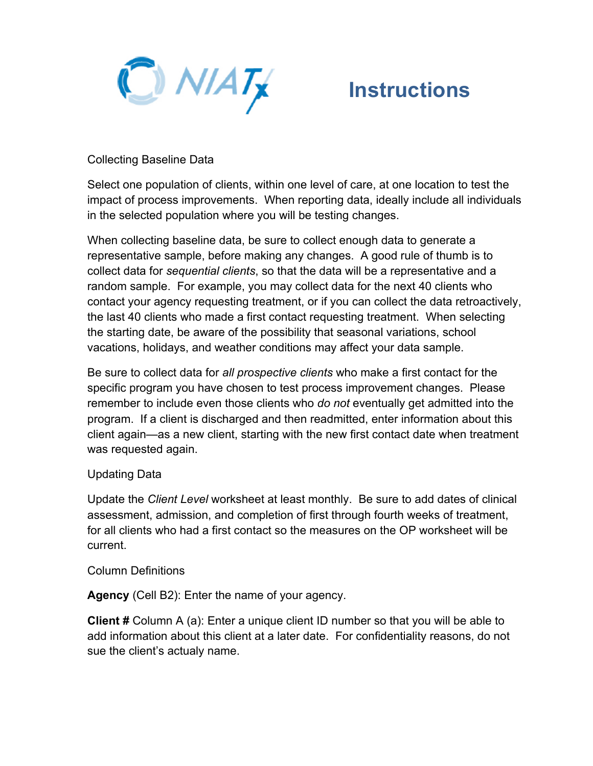

## Collecting Baseline Data

Select one population of clients, within one level of care, at one location to test the impact of process improvements. When reporting data, ideally include all individuals in the selected population where you will be testing changes.

When collecting baseline data, be sure to collect enough data to generate a representative sample, before making any changes. A good rule of thumb is to collect data for *sequential clients*, so that the data will be a representative and a random sample. For example, you may collect data for the next 40 clients who contact your agency requesting treatment, or if you can collect the data retroactively, the last 40 clients who made a first contact requesting treatment. When selecting the starting date, be aware of the possibility that seasonal variations, school vacations, holidays, and weather conditions may affect your data sample.

Be sure to collect data for *all prospective clients* who make a first contact for the specific program you have chosen to test process improvement changes. Please remember to include even those clients who *do not* eventually get admitted into the program. If a client is discharged and then readmitted, enter information about this client again—as a new client, starting with the new first contact date when treatment was requested again.

## Updating Data

Update the *Client Level* worksheet at least monthly. Be sure to add dates of clinical assessment, admission, and completion of first through fourth weeks of treatment, for all clients who had a first contact so the measures on the OP worksheet will be current.

## Column Definitions

**Agency** (Cell B2): Enter the name of your agency.

**Client #** Column A (a): Enter a unique client ID number so that you will be able to add information about this client at a later date. For confidentiality reasons, do not sue the client's actualy name.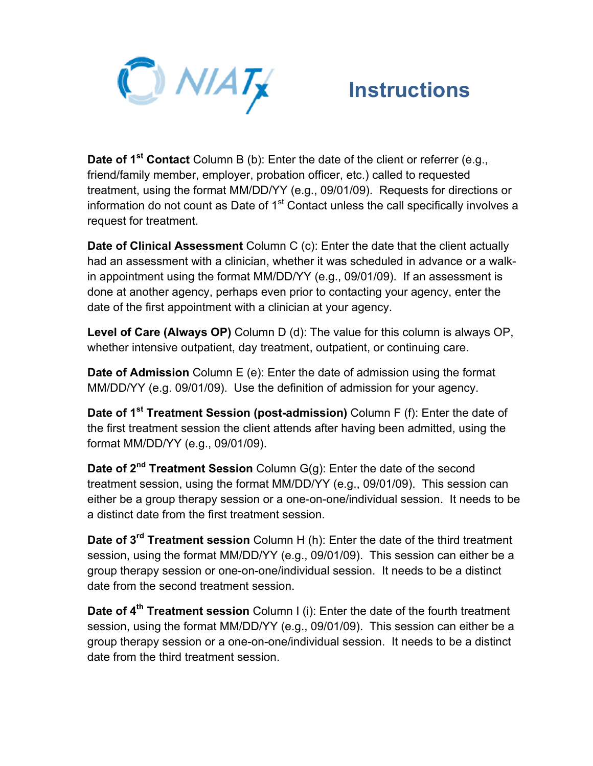

**Date of 1<sup>st</sup> Contact** Column B (b): Enter the date of the client or referrer (e.g., friend/family member, employer, probation officer, etc.) called to requested treatment, using the format MM/DD/YY (e.g., 09/01/09). Requests for directions or information do not count as Date of  $1<sup>st</sup>$  Contact unless the call specifically involves a request for treatment.

**Date of Clinical Assessment** Column C (c): Enter the date that the client actually had an assessment with a clinician, whether it was scheduled in advance or a walkin appointment using the format MM/DD/YY (e.g., 09/01/09). If an assessment is done at another agency, perhaps even prior to contacting your agency, enter the date of the first appointment with a clinician at your agency.

**Level of Care (Always OP)** Column D (d): The value for this column is always OP, whether intensive outpatient, day treatment, outpatient, or continuing care.

**Date of Admission** Column E (e): Enter the date of admission using the format MM/DD/YY (e.g. 09/01/09). Use the definition of admission for your agency.

**Date of 1st Treatment Session (post-admission)** Column F (f): Enter the date of the first treatment session the client attends after having been admitted, using the format MM/DD/YY (e.g., 09/01/09).

**Date of 2<sup>nd</sup> Treatment Session** Column G(g): Enter the date of the second treatment session, using the format MM/DD/YY (e.g., 09/01/09). This session can either be a group therapy session or a one-on-one/individual session. It needs to be a distinct date from the first treatment session.

**Date of 3rd Treatment session** Column H (h): Enter the date of the third treatment session, using the format MM/DD/YY (e.g., 09/01/09). This session can either be a group therapy session or one-on-one/individual session. It needs to be a distinct date from the second treatment session.

**Date of 4th Treatment session** Column I (i): Enter the date of the fourth treatment session, using the format MM/DD/YY (e.g., 09/01/09). This session can either be a group therapy session or a one-on-one/individual session. It needs to be a distinct date from the third treatment session.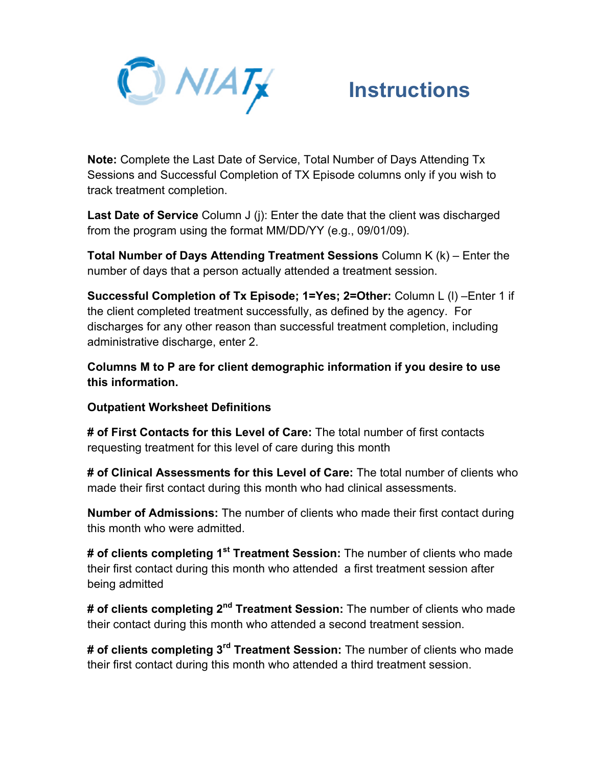

**Note:** Complete the Last Date of Service, Total Number of Days Attending Tx Sessions and Successful Completion of TX Episode columns only if you wish to track treatment completion.

**Last Date of Service** Column J (j): Enter the date that the client was discharged from the program using the format MM/DD/YY (e.g., 09/01/09).

**Total Number of Days Attending Treatment Sessions** Column K (k) – Enter the number of days that a person actually attended a treatment session.

**Successful Completion of Tx Episode; 1=Yes; 2=Other:** Column L (l) –Enter 1 if the client completed treatment successfully, as defined by the agency. For discharges for any other reason than successful treatment completion, including administrative discharge, enter 2.

**Columns M to P are for client demographic information if you desire to use this information.**

## **Outpatient Worksheet Definitions**

**# of First Contacts for this Level of Care:** The total number of first contacts requesting treatment for this level of care during this month

**# of Clinical Assessments for this Level of Care:** The total number of clients who made their first contact during this month who had clinical assessments.

**Number of Admissions:** The number of clients who made their first contact during this month who were admitted.

**# of clients completing 1st Treatment Session:** The number of clients who made their first contact during this month who attended a first treatment session after being admitted

**# of clients completing 2nd Treatment Session:** The number of clients who made their contact during this month who attended a second treatment session.

**# of clients completing 3rd Treatment Session:** The number of clients who made their first contact during this month who attended a third treatment session.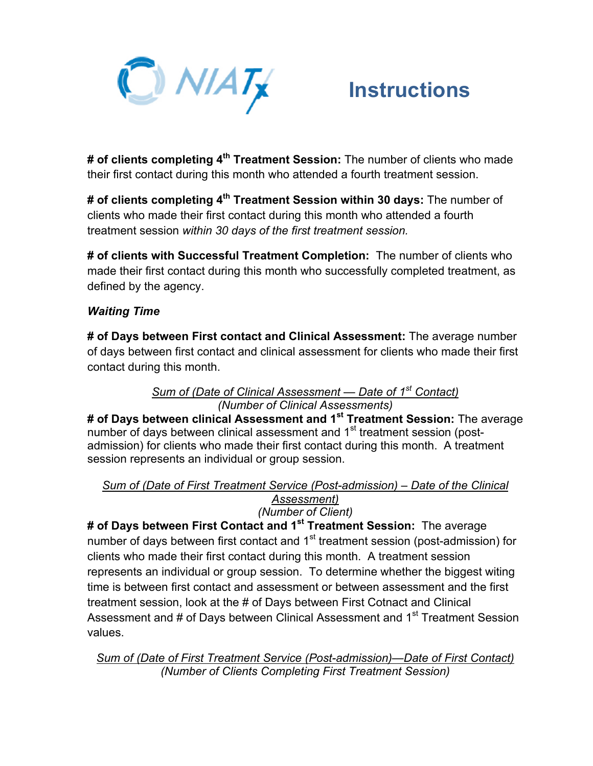

**# of clients completing 4th Treatment Session:** The number of clients who made their first contact during this month who attended a fourth treatment session.

**# of clients completing 4th Treatment Session within 30 days:** The number of clients who made their first contact during this month who attended a fourth treatment session *within 30 days of the first treatment session.*

**# of clients with Successful Treatment Completion:** The number of clients who made their first contact during this month who successfully completed treatment, as defined by the agency.

## *Waiting Time*

**# of Days between First contact and Clinical Assessment:** The average number of days between first contact and clinical assessment for clients who made their first contact during this month.

### *Sum of (Date of Clinical Assessment — Date of 1st Contact) (Number of Clinical Assessments)*

**# of Days between clinical Assessment and 1st Treatment Session:** The average number of days between clinical assessment and 1<sup>st</sup> treatment session (postadmission) for clients who made their first contact during this month. A treatment session represents an individual or group session.

## *Sum of (Date of First Treatment Service (Post-admission) – Date of the Clinical Assessment)*

## *(Number of Client)*

**# of Days between First Contact and 1st Treatment Session:** The average number of days between first contact and 1<sup>st</sup> treatment session (post-admission) for clients who made their first contact during this month. A treatment session represents an individual or group session. To determine whether the biggest witing time is between first contact and assessment or between assessment and the first treatment session, look at the # of Days between First Cotnact and Clinical Assessment and # of Days between Clinical Assessment and 1<sup>st</sup> Treatment Session values.

*Sum of (Date of First Treatment Service (Post-admission)—Date of First Contact) (Number of Clients Completing First Treatment Session)*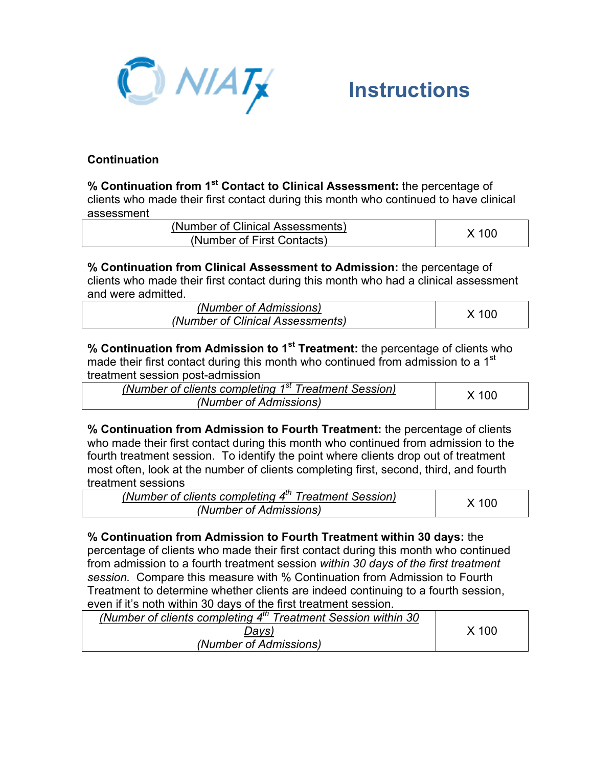

## **Continuation**

**% Continuation from 1st Contact to Clinical Assessment:** the percentage of clients who made their first contact during this month who continued to have clinical assessment

| (Number of Clinical Assessments) | X 100 |
|----------------------------------|-------|
| (Number of First Contacts)       |       |

**% Continuation from Clinical Assessment to Admission:** the percentage of clients who made their first contact during this month who had a clinical assessment and were admitted.

| (Number of Admissions)           | X 100 |
|----------------------------------|-------|
| (Number of Clinical Assessments) |       |

**% Continuation from Admission to 1st Treatment:** the percentage of clients who made their first contact during this month who continued from admission to a 1 $^{\rm st}$ treatment session post-admission

| (Number of clients completing 1 <sup>st</sup> Treatment Session) | X 100 |
|------------------------------------------------------------------|-------|
| (Number of Admissions)                                           |       |

**% Continuation from Admission to Fourth Treatment:** the percentage of clients who made their first contact during this month who continued from admission to the fourth treatment session. To identify the point where clients drop out of treatment most often, look at the number of clients completing first, second, third, and fourth treatment sessions

| (Number of clients completing 4 <sup>th</sup> Treatment Session) |       |
|------------------------------------------------------------------|-------|
| (Number of Admissions)                                           | X 100 |

**% Continuation from Admission to Fourth Treatment within 30 days:** the percentage of clients who made their first contact during this month who continued from admission to a fourth treatment session *within 30 days of the first treatment session.* Compare this measure with % Continuation from Admission to Fourth Treatment to determine whether clients are indeed continuing to a fourth session, even if it's noth within 30 days of the first treatment session.

| (Number of clients completing $4^{th}$ Treatment Session within 30 |       |
|--------------------------------------------------------------------|-------|
| Days)                                                              | X 100 |
| (Number of Admissions)                                             |       |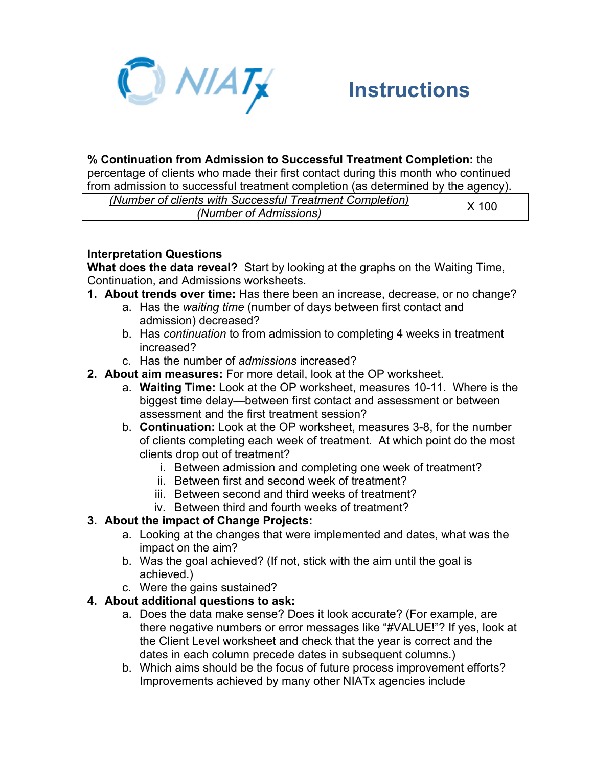

## **% Continuation from Admission to Successful Treatment Completion:** the

percentage of clients who made their first contact during this month who continued from admission to successful treatment completion (as determined by the agency).

| (Number of clients with Successful Treatment Completion) | X 100 |
|----------------------------------------------------------|-------|
| (Number of Admissions)                                   |       |

## **Interpretation Questions**

**What does the data reveal?** Start by looking at the graphs on the Waiting Time, Continuation, and Admissions worksheets.

- **1. About trends over time:** Has there been an increase, decrease, or no change?
	- a. Has the *waiting time* (number of days between first contact and admission) decreased?
	- b. Has *continuation* to from admission to completing 4 weeks in treatment increased?
	- c. Has the number of *admissions* increased?
- **2. About aim measures:** For more detail, look at the OP worksheet.
	- a. **Waiting Time:** Look at the OP worksheet, measures 10-11. Where is the biggest time delay—between first contact and assessment or between assessment and the first treatment session?
	- b. **Continuation:** Look at the OP worksheet, measures 3-8, for the number of clients completing each week of treatment. At which point do the most clients drop out of treatment?
		- i. Between admission and completing one week of treatment?
		- ii. Between first and second week of treatment?
		- iii. Between second and third weeks of treatment?
		- iv. Between third and fourth weeks of treatment?

## **3. About the impact of Change Projects:**

- a. Looking at the changes that were implemented and dates, what was the impact on the aim?
- b. Was the goal achieved? (If not, stick with the aim until the goal is achieved.)
- c. Were the gains sustained?

## **4. About additional questions to ask:**

- a. Does the data make sense? Does it look accurate? (For example, are there negative numbers or error messages like "#VALUE!"? If yes, look at the Client Level worksheet and check that the year is correct and the dates in each column precede dates in subsequent columns.)
- b. Which aims should be the focus of future process improvement efforts? Improvements achieved by many other NIATx agencies include